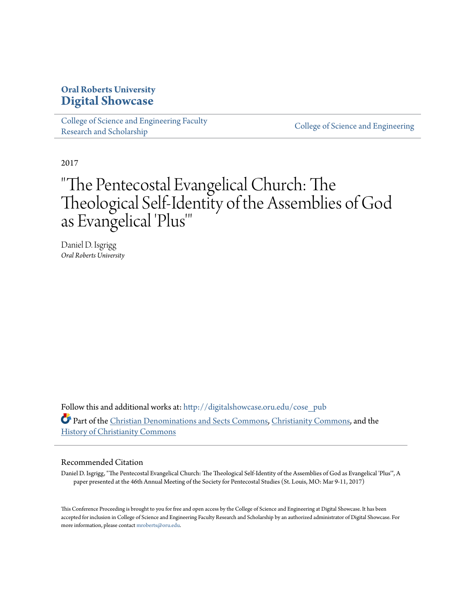## **Oral Roberts University [Digital Showcase](http://digitalshowcase.oru.edu?utm_source=digitalshowcase.oru.edu%2Fcose_pub%2F80&utm_medium=PDF&utm_campaign=PDFCoverPages)**

[College of Science and Engineering Faculty](http://digitalshowcase.oru.edu/cose_pub?utm_source=digitalshowcase.oru.edu%2Fcose_pub%2F80&utm_medium=PDF&utm_campaign=PDFCoverPages) College of Science and Scholarship College of Science and Engineering [Research and Scholarship](http://digitalshowcase.oru.edu/cose_pub?utm_source=digitalshowcase.oru.edu%2Fcose_pub%2F80&utm_medium=PDF&utm_campaign=PDFCoverPages)

2017

# "The Pentecostal Evangelical Church: The Theological Self-Identity of the Assemblies of God as Evangelical 'Plus '"

Daniel D. Isgrigg *Oral Roberts University*

Follow this and additional works at: [http://digitalshowcase.oru.edu/cose\\_pub](http://digitalshowcase.oru.edu/cose_pub?utm_source=digitalshowcase.oru.edu%2Fcose_pub%2F80&utm_medium=PDF&utm_campaign=PDFCoverPages) Part of the [Christian Denominations and Sects Commons](http://network.bepress.com/hgg/discipline/1184?utm_source=digitalshowcase.oru.edu%2Fcose_pub%2F80&utm_medium=PDF&utm_campaign=PDFCoverPages), [Christianity Commons,](http://network.bepress.com/hgg/discipline/1181?utm_source=digitalshowcase.oru.edu%2Fcose_pub%2F80&utm_medium=PDF&utm_campaign=PDFCoverPages) and the [History of Christianity Commons](http://network.bepress.com/hgg/discipline/1182?utm_source=digitalshowcase.oru.edu%2Fcose_pub%2F80&utm_medium=PDF&utm_campaign=PDFCoverPages)

#### Recommended Citation

Daniel D. Isgrigg, "The Pentecostal Evangelical Church: The Theological Self-Identity of the Assemblies of God as Evangelical 'Plus'", A paper presented at the 46th Annual Meeting of the Society for Pentecostal Studies (St. Louis, MO: Mar 9-11, 2017)

This Conference Proceeding is brought to you for free and open access by the College of Science and Engineering at Digital Showcase. It has been accepted for inclusion in College of Science and Engineering Faculty Research and Scholarship by an authorized administrator of Digital Showcase. For more information, please contact [mroberts@oru.edu](mailto:mroberts@oru.edu).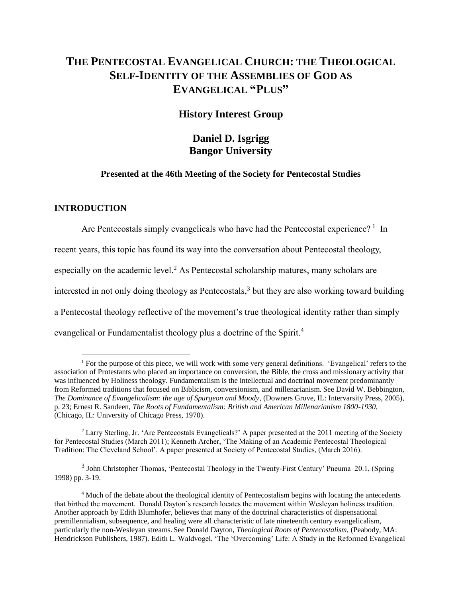## **THE PENTECOSTAL EVANGELICAL CHURCH: THE THEOLOGICAL SELF-IDENTITY OF THE ASSEMBLIES OF GOD AS EVANGELICAL "PLUS"**

### **History Interest Group**

## **Daniel D. Isgrigg Bangor University**

#### **Presented at the 46th Meeting of the Society for Pentecostal Studies**

#### **INTRODUCTION**

 $\overline{a}$ 

Are Pentecostals simply evangelicals who have had the Pentecostal experience?<sup>1</sup> In

recent years, this topic has found its way into the conversation about Pentecostal theology,

especially on the academic level.<sup>2</sup> As Pentecostal scholarship matures, many scholars are

interested in not only doing theology as Pentecostals,<sup>3</sup> but they are also working toward building

a Pentecostal theology reflective of the movement's true theological identity rather than simply

evangelical or Fundamentalist theology plus a doctrine of the Spirit.<sup>4</sup>

 $3$  John Christopher Thomas, 'Pentecostal Theology in the Twenty-First Century' Pneuma 20.1, (Spring 1998) pp. 3-19.

<sup>&</sup>lt;sup>1</sup> For the purpose of this piece, we will work with some very general definitions. 'Evangelical' refers to the association of Protestants who placed an importance on conversion, the Bible, the cross and missionary activity that was influenced by Holiness theology. Fundamentalism is the intellectual and doctrinal movement predominantly from Reformed traditions that focused on Biblicism, conversionism, and millenarianism. See David W. Bebbington, *The Dominance of Evangelicalism: the age of Spurgeon and Moody*, (Downers Grove, IL: Intervarsity Press, 2005), p. 23; Ernest R. Sandeen, *The Roots of Fundamentalism: British and American Millenarianism 1800-1930*, (Chicago, IL: University of Chicago Press, 1970).

<sup>2</sup> Larry Sterling, Jr. 'Are Pentecostals Evangelicals?' A paper presented at the 2011 meeting of the Society for Pentecostal Studies (March 2011); Kenneth Archer, 'The Making of an Academic Pentecostal Theological Tradition: The Cleveland School'. A paper presented at Society of Pentecostal Studies, (March 2016).

<sup>4</sup> Much of the debate about the theological identity of Pentecostalism begins with locating the antecedents that birthed the movement. Donald Dayton's research locates the movement within Wesleyan holiness tradition. Another approach by Edith Blumhofer, believes that many of the doctrinal characteristics of dispensational premillennialism, subsequence, and healing were all characteristic of late nineteenth century evangelicalism, particularly the non-Wesleyan streams. See Donald Dayton, *Theological Roots of Pentecostalism,* (Peabody, MA: Hendrickson Publishers, 1987). Edith L. Waldvogel, 'The 'Overcoming' Life: A Study in the Reformed Evangelical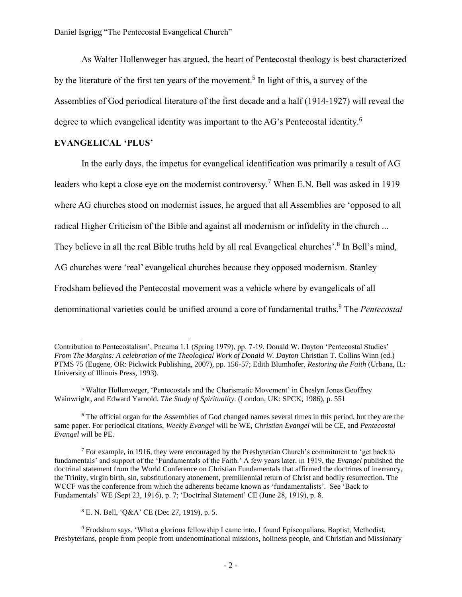As Walter Hollenweger has argued, the heart of Pentecostal theology is best characterized by the literature of the first ten years of the movement.<sup>5</sup> In light of this, a survey of the Assemblies of God periodical literature of the first decade and a half (1914-1927) will reveal the degree to which evangelical identity was important to the AG's Pentecostal identity.<sup>6</sup>

#### **EVANGELICAL 'PLUS'**

 $\overline{a}$ 

In the early days, the impetus for evangelical identification was primarily a result of AG leaders who kept a close eye on the modernist controversy.<sup>7</sup> When E.N. Bell was asked in 1919 where AG churches stood on modernist issues, he argued that all Assemblies are 'opposed to all radical Higher Criticism of the Bible and against all modernism or infidelity in the church ... They believe in all the real Bible truths held by all real Evangelical churches'.<sup>8</sup> In Bell's mind, AG churches were 'real' evangelical churches because they opposed modernism. Stanley Frodsham believed the Pentecostal movement was a vehicle where by evangelicals of all denominational varieties could be unified around a core of fundamental truths. <sup>9</sup> The *Pentecostal*

<sup>8</sup> E. N. Bell, 'Q&A' CE (Dec 27, 1919), p. 5.

<sup>9</sup> Frodsham says, 'What a glorious fellowship I came into. I found Episcopalians, Baptist, Methodist, Presbyterians, people from people from undenominational missions, holiness people, and Christian and Missionary

Contribution to Pentecostalism', Pneuma 1.1 (Spring 1979), pp. 7-19. Donald W. Dayton 'Pentecostal Studies' *From The Margins: A celebration of the Theological Work of Donald W. Dayton* Christian T. Collins Winn (ed.) PTMS 75 (Eugene, OR: Pickwick Publishing, 2007), pp. 156-57; Edith Blumhofer, *Restoring the Faith* (Urbana, IL: University of Illinois Press, 1993).

<sup>5</sup> Walter Hollenweger, 'Pentecostals and the Charismatic Movement' in Cheslyn Jones Geoffrey Wainwright, and Edward Yarnold. *The Study of Spirituality.* (London, UK: SPCK, 1986), p. 551

<sup>&</sup>lt;sup>6</sup> The official organ for the Assemblies of God changed names several times in this period, but they are the same paper. For periodical citations, *Weekly Evangel* will be WE, *Christian Evangel* will be CE, and *Pentecostal Evangel* will be PE.

<sup>&</sup>lt;sup>7</sup> For example, in 1916, they were encouraged by the Presbyterian Church's commitment to 'get back to fundamentals' and support of the 'Fundamentals of the Faith.' A few years later, in 1919, the *Evangel* published the doctrinal statement from the World Conference on Christian Fundamentals that affirmed the doctrines of inerrancy, the Trinity, virgin birth, sin, substitutionary atonement, premillennial return of Christ and bodily resurrection. The WCCF was the conference from which the adherents became known as 'fundamentalists'. See 'Back to Fundamentals' WE (Sept 23, 1916), p. 7; 'Doctrinal Statement' CE (June 28, 1919), p. 8.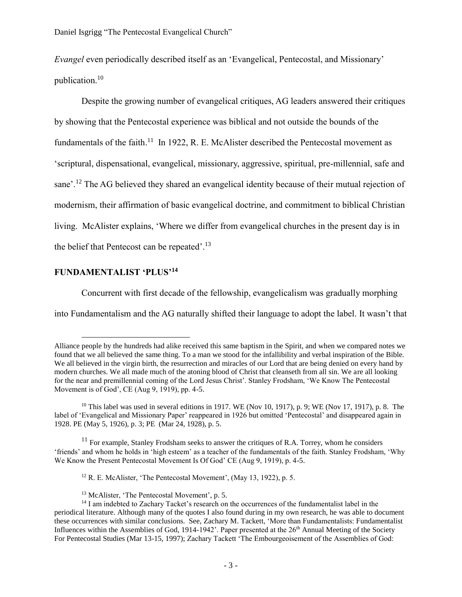*Evangel* even periodically described itself as an 'Evangelical, Pentecostal, and Missionary' publication.<sup>10</sup>

Despite the growing number of evangelical critiques, AG leaders answered their critiques by showing that the Pentecostal experience was biblical and not outside the bounds of the fundamentals of the faith.<sup>11</sup> In 1922, R. E. McAlister described the Pentecostal movement as 'scriptural, dispensational, evangelical, missionary, aggressive, spiritual, pre-millennial, safe and sane'.<sup>12</sup> The AG believed they shared an evangelical identity because of their mutual rejection of modernism, their affirmation of basic evangelical doctrine, and commitment to biblical Christian living. McAlister explains, 'Where we differ from evangelical churches in the present day is in the belief that Pentecost can be repeated'.<sup>13</sup>

#### **FUNDAMENTALIST 'PLUS'<sup>14</sup>**

 $\overline{a}$ 

Concurrent with first decade of the fellowship, evangelicalism was gradually morphing

into Fundamentalism and the AG naturally shifted their language to adopt the label. It wasn't that

 $11$  For example, Stanley Frodsham seeks to answer the critiques of R.A. Torrey, whom he considers 'friends' and whom he holds in 'high esteem' as a teacher of the fundamentals of the faith. Stanley Frodsham, 'Why We Know the Present Pentecostal Movement Is Of God' CE (Aug 9, 1919), p. 4-5.

 $12$  R. E. McAlister, 'The Pentecostal Movement', (May 13, 1922), p. 5.

Alliance people by the hundreds had alike received this same baptism in the Spirit, and when we compared notes we found that we all believed the same thing. To a man we stood for the infallibility and verbal inspiration of the Bible. We all believed in the virgin birth, the resurrection and miracles of our Lord that are being denied on every hand by modern churches. We all made much of the atoning blood of Christ that cleanseth from all sin. We are all looking for the near and premillennial coming of the Lord Jesus Christ'. Stanley Frodsham, 'We Know The Pentecostal Movement is of God', CE (Aug 9, 1919), pp. 4-5.

<sup>&</sup>lt;sup>10</sup> This label was used in several editions in 1917. WE (Nov 10, 1917), p. 9; WE (Nov 17, 1917), p. 8. The label of 'Evangelical and Missionary Paper' reappeared in 1926 but omitted 'Pentecostal' and disappeared again in 1928. PE (May 5, 1926), p. 3; PE (Mar 24, 1928), p. 5.

<sup>13</sup> McAlister, 'The Pentecostal Movement', p. 5.

<sup>&</sup>lt;sup>14</sup> I am indebted to Zachary Tacket's research on the occurrences of the fundamentalist label in the periodical literature. Although many of the quotes I also found during in my own research, he was able to document these occurrences with similar conclusions. See, Zachary M. Tackett, 'More than Fundamentalists: Fundamentalist Influences within the Assemblies of God, 1914-1942'. Paper presented at the 26<sup>th</sup> Annual Meeting of the Society For Pentecostal Studies (Mar 13-15, 1997); Zachary Tackett 'The Embourgeoisement of the Assemblies of God: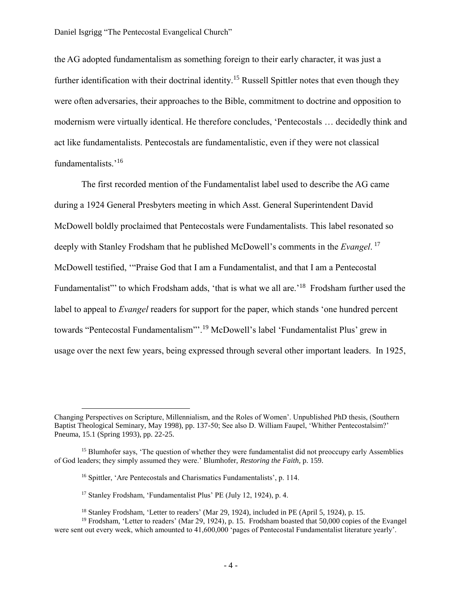the AG adopted fundamentalism as something foreign to their early character, it was just a further identification with their doctrinal identity.<sup>15</sup> Russell Spittler notes that even though they were often adversaries, their approaches to the Bible, commitment to doctrine and opposition to modernism were virtually identical. He therefore concludes, 'Pentecostals … decidedly think and act like fundamentalists. Pentecostals are fundamentalistic, even if they were not classical fundamentalists.' 16

The first recorded mention of the Fundamentalist label used to describe the AG came during a 1924 General Presbyters meeting in which Asst. General Superintendent David McDowell boldly proclaimed that Pentecostals were Fundamentalists. This label resonated so deeply with Stanley Frodsham that he published McDowell's comments in the *Evangel*. 17 McDowell testified, '"Praise God that I am a Fundamentalist, and that I am a Pentecostal Fundamentalist" to which Frodsham adds, 'that is what we all are.'<sup>18</sup> Frodsham further used the label to appeal to *Evangel* readers for support for the paper, which stands 'one hundred percent towards "Pentecostal Fundamentalism"'.<sup>19</sup> McDowell's label 'Fundamentalist Plus' grew in usage over the next few years, being expressed through several other important leaders. In 1925,

<sup>17</sup> Stanley Frodsham, 'Fundamentalist Plus' PE (July 12, 1924), p. 4.

 $\overline{a}$ 

Changing Perspectives on Scripture, Millennialism, and the Roles of Women'. Unpublished PhD thesis, (Southern Baptist Theological Seminary, May 1998), pp. 137-50; See also D. William Faupel, 'Whither Pentecostalsim?' Pneuma, 15.1 (Spring 1993), pp. 22-25.

<sup>&</sup>lt;sup>15</sup> Blumhofer says, 'The question of whether they were fundamentalist did not preoccupy early Assemblies of God leaders; they simply assumed they were.' Blumhofer, *Restoring the Faith,* p. 159.

<sup>16</sup> Spittler, 'Are Pentecostals and Charismatics Fundamentalists', p. 114.

<sup>&</sup>lt;sup>18</sup> Stanley Frodsham, 'Letter to readers' (Mar 29, 1924), included in PE (April 5, 1924), p. 15.

<sup>19</sup> Frodsham, 'Letter to readers' (Mar 29, 1924), p. 15. Frodsham boasted that 50,000 copies of the Evangel were sent out every week, which amounted to 41,600,000 'pages of Pentecostal Fundamentalist literature yearly'.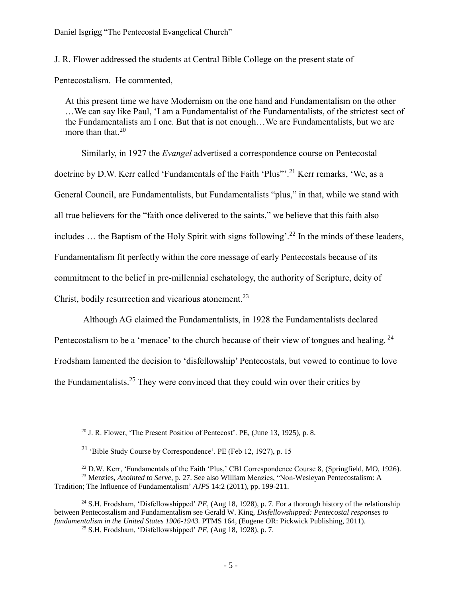J. R. Flower addressed the students at Central Bible College on the present state of

Pentecostalism. He commented,

 $\overline{a}$ 

At this present time we have Modernism on the one hand and Fundamentalism on the other …We can say like Paul, 'I am a Fundamentalist of the Fundamentalists, of the strictest sect of the Fundamentalists am I one. But that is not enough…We are Fundamentalists, but we are more than that. $20$ 

Similarly, in 1927 the *Evangel* advertised a correspondence course on Pentecostal doctrine by D.W. Kerr called 'Fundamentals of the Faith 'Plus'".<sup>21</sup> Kerr remarks, 'We, as a General Council, are Fundamentalists, but Fundamentalists "plus," in that, while we stand with all true believers for the "faith once delivered to the saints," we believe that this faith also includes ... the Baptism of the Holy Spirit with signs following'.<sup>22</sup> In the minds of these leaders, Fundamentalism fit perfectly within the core message of early Pentecostals because of its commitment to the belief in pre-millennial eschatology, the authority of Scripture, deity of Christ, bodily resurrection and vicarious atonement.<sup>23</sup>

Although AG claimed the Fundamentalists, in 1928 the Fundamentalists declared Pentecostalism to be a 'menace' to the church because of their view of tongues and healing. <sup>24</sup> Frodsham lamented the decision to 'disfellowship' Pentecostals, but vowed to continue to love the Fundamentalists.<sup>25</sup> They were convinced that they could win over their critics by

 $20$  J. R. Flower, 'The Present Position of Pentecost'. PE, (June 13, 1925), p. 8.

<sup>&</sup>lt;sup>21</sup> 'Bible Study Course by Correspondence'. PE (Feb 12, 1927), p. 15

<sup>&</sup>lt;sup>22</sup> D.W. Kerr, 'Fundamentals of the Faith 'Plus,' CBI Correspondence Course 8, (Springfield, MO, 1926). <sup>23</sup> Menzies, *Anointed to Serve*, p. 27. See also William Menzies, "Non-Wesleyan Pentecostalism: A Tradition; The Influence of Fundamentalism' *AJPS* 14:2 (2011), pp. 199-211.

<sup>24</sup> S.H. Frodsham, 'Disfellowshipped' *PE*, (Aug 18, 1928), p. 7. For a thorough history of the relationship between Pentecostalism and Fundamentalism see Gerald W. King, *Disfellowshipped: Pentecostal responses to fundamentalism in the United States 1906-1943.* PTMS 164, (Eugene OR: Pickwick Publishing, 2011).

<sup>25</sup> S.H. Frodsham, 'Disfellowshipped' *PE*, (Aug 18, 1928), p. 7.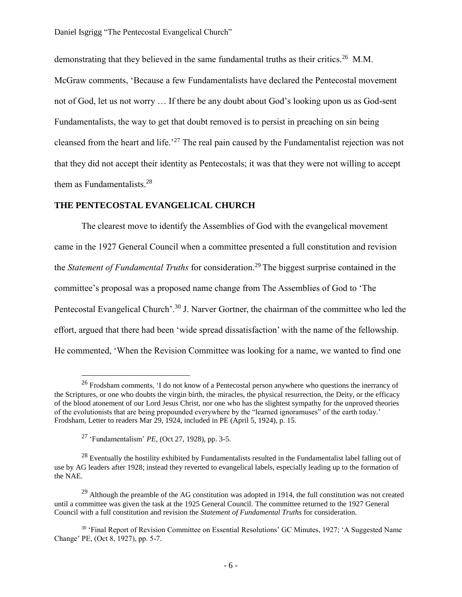demonstrating that they believed in the same fundamental truths as their critics.<sup>26</sup> M.M.

McGraw comments, 'Because a few Fundamentalists have declared the Pentecostal movement not of God, let us not worry … If there be any doubt about God's looking upon us as God-sent Fundamentalists, the way to get that doubt removed is to persist in preaching on sin being cleansed from the heart and life.<sup>27</sup> The real pain caused by the Fundamentalist rejection was not that they did not accept their identity as Pentecostals; it was that they were not willing to accept them as Fundamentalists.<sup>28</sup>

#### **THE PENTECOSTAL EVANGELICAL CHURCH**

The clearest move to identify the Assemblies of God with the evangelical movement came in the 1927 General Council when a committee presented a full constitution and revision the *Statement of Fundamental Truths* for consideration. <sup>29</sup> The biggest surprise contained in the committee's proposal was a proposed name change from The Assemblies of God to 'The Pentecostal Evangelical Church'.<sup>30</sup> J. Narver Gortner, the chairman of the committee who led the effort, argued that there had been 'wide spread dissatisfaction' with the name of the fellowship. He commented, 'When the Revision Committee was looking for a name, we wanted to find one

 $\overline{a}$ 

<sup>&</sup>lt;sup>26</sup> Frodsham comments, 'I do not know of a Pentecostal person anywhere who questions the inerrancy of the Scriptures, or one who doubts the virgin birth, the miracles, the physical resurrection, the Deity, or the efficacy of the blood atonement of our Lord Jesus Christ, nor one who has the slightest sympathy for the unproved theories of the evolutionists that are being propounded everywhere by the "learned ignoramuses" of the earth today.' Frodsham, Letter to readers Mar 29, 1924, included in PE (April 5, 1924), p. 15.

<sup>27</sup> 'Fundamentalism' *PE,* (Oct 27, 1928), pp. 3-5.

<sup>&</sup>lt;sup>28</sup> Eventually the hostility exhibited by Fundamentalists resulted in the Fundamentalist label falling out of use by AG leaders after 1928; instead they reverted to evangelical labels, especially leading up to the formation of the NAE.

 $^{29}$  Although the preamble of the AG constitution was adopted in 1914, the full constitution was not created until a committee was given the task at the 1925 General Council. The committee returned to the 1927 General Council with a full constitution and revision the *Statement of Fundamental Truths* for consideration.

<sup>30</sup> 'Final Report of Revision Committee on Essential Resolutions' GC Minutes, 1927; 'A Suggested Name Change' PE, (Oct 8, 1927), pp. 5-7.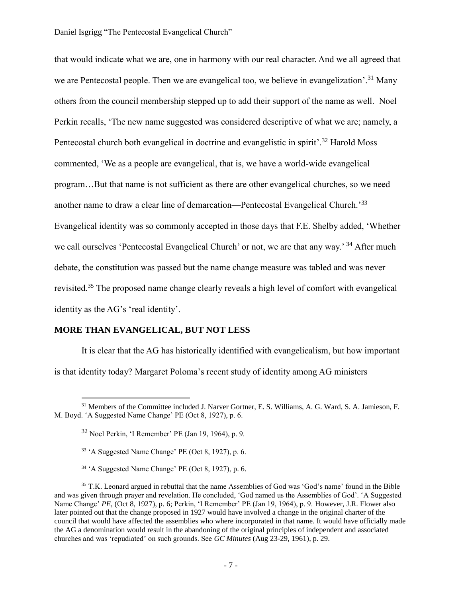that would indicate what we are, one in harmony with our real character. And we all agreed that we are Pentecostal people. Then we are evangelical too, we believe in evangelization'.<sup>31</sup> Many others from the council membership stepped up to add their support of the name as well. Noel Perkin recalls, 'The new name suggested was considered descriptive of what we are; namely, a Pentecostal church both evangelical in doctrine and evangelistic in spirit'.<sup>32</sup> Harold Moss commented, 'We as a people are evangelical, that is, we have a world-wide evangelical program…But that name is not sufficient as there are other evangelical churches, so we need another name to draw a clear line of demarcation—Pentecostal Evangelical Church.<sup>33</sup> Evangelical identity was so commonly accepted in those days that F.E. Shelby added, 'Whether we call ourselves 'Pentecostal Evangelical Church' or not, we are that any way.'<sup>34</sup> After much debate, the constitution was passed but the name change measure was tabled and was never revisited.<sup>35</sup> The proposed name change clearly reveals a high level of comfort with evangelical identity as the AG's 'real identity'.

#### **MORE THAN EVANGELICAL, BUT NOT LESS**

 $\overline{a}$ 

It is clear that the AG has historically identified with evangelicalism, but how important is that identity today? Margaret Poloma's recent study of identity among AG ministers

<sup>&</sup>lt;sup>31</sup> Members of the Committee included J. Narver Gortner, E. S. Williams, A. G. Ward, S. A. Jamieson, F. M. Boyd. 'A Suggested Name Change' PE (Oct 8, 1927), p. 6.

 $32$  Noel Perkin, 'I Remember' PE (Jan 19, 1964), p. 9.

<sup>33</sup> 'A Suggested Name Change' PE (Oct 8, 1927), p. 6.

<sup>34</sup> 'A Suggested Name Change' PE (Oct 8, 1927), p. 6.

<sup>&</sup>lt;sup>35</sup> T.K. Leonard argued in rebuttal that the name Assemblies of God was 'God's name' found in the Bible and was given through prayer and revelation. He concluded, 'God named us the Assemblies of God'. 'A Suggested Name Change' *PE*, (Oct 8, 1927), p. 6; Perkin, 'I Remember' PE (Jan 19, 1964), p. 9. However, J.R. Flower also later pointed out that the change proposed in 1927 would have involved a change in the original charter of the council that would have affected the assemblies who where incorporated in that name. It would have officially made the AG a denomination would result in the abandoning of the original principles of independent and associated churches and was 'repudiated' on such grounds. See *GC Minutes* (Aug 23-29, 1961), p. 29.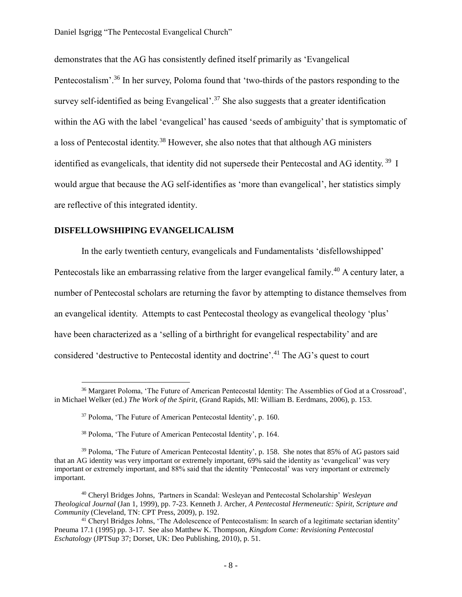demonstrates that the AG has consistently defined itself primarily as 'Evangelical Pentecostalism'.<sup>36</sup> In her survey, Poloma found that 'two-thirds of the pastors responding to the survey self-identified as being Evangelical'.<sup>37</sup> She also suggests that a greater identification within the AG with the label 'evangelical' has caused 'seeds of ambiguity' that is symptomatic of a loss of Pentecostal identity.<sup>38</sup> However, she also notes that that although AG ministers identified as evangelicals, that identity did not supersede their Pentecostal and AG identity.<sup>39</sup> I would argue that because the AG self-identifies as 'more than evangelical', her statistics simply are reflective of this integrated identity.

#### **DISFELLOWSHIPING EVANGELICALISM**

 $\overline{a}$ 

In the early twentieth century, evangelicals and Fundamentalists 'disfellowshipped' Pentecostals like an embarrassing relative from the larger evangelical family.<sup>40</sup> A century later, a number of Pentecostal scholars are returning the favor by attempting to distance themselves from an evangelical identity. Attempts to cast Pentecostal theology as evangelical theology 'plus' have been characterized as a 'selling of a birthright for evangelical respectability' and are considered 'destructive to Pentecostal identity and doctrine'.<sup>41</sup> The AG's quest to court

<sup>38</sup> Poloma, 'The Future of American Pentecostal Identity', p. 164.

<sup>&</sup>lt;sup>36</sup> Margaret Poloma, 'The Future of American Pentecostal Identity: The Assemblies of God at a Crossroad', in Michael Welker (ed.) *The Work of the Spirit,* (Grand Rapids, MI: William B. Eerdmans, 2006), p. 153.

<sup>37</sup> Poloma, 'The Future of American Pentecostal Identity', p. 160.

<sup>39</sup> Poloma, 'The Future of American Pentecostal Identity', p. 158. She notes that 85% of AG pastors said that an AG identity was very important or extremely important, 69% said the identity as 'evangelical' was very important or extremely important, and 88% said that the identity 'Pentecostal' was very important or extremely important.

<sup>40</sup> Cheryl Bridges Johns, *'*Partners in Scandal: Wesleyan and Pentecostal Scholarship' *Wesleyan Theological Journal* (Jan 1, 1999), pp. 7-23. Kenneth J. Archer, *A Pentecostal Hermeneutic: Spirit, Scripture and Community* (Cleveland, TN: CPT Press, 2009), p. 192.

<sup>41</sup> Cheryl Bridges Johns, 'The Adolescence of Pentecostalism: In search of a legitimate sectarian identity' Pneuma 17.1 (1995) pp. 3-17. See also Matthew K. Thompson, *Kingdom Come: Revisioning Pentecostal Eschatology* (JPTSup 37; Dorset, UK: Deo Publishing, 2010), p. 51.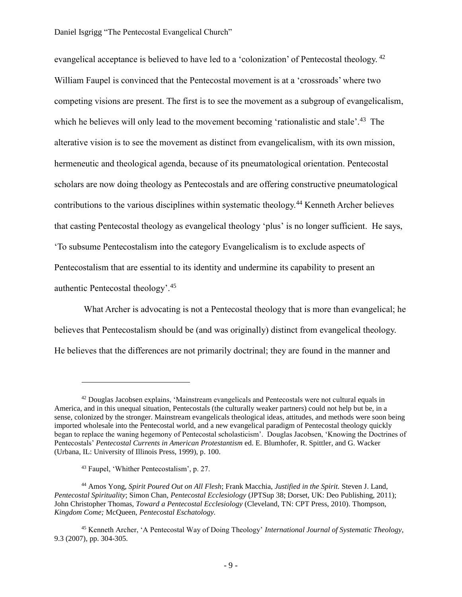evangelical acceptance is believed to have led to a 'colonization' of Pentecostal theology.<sup>42</sup> William Faupel is convinced that the Pentecostal movement is at a 'crossroads' where two competing visions are present. The first is to see the movement as a subgroup of evangelicalism, which he believes will only lead to the movement becoming 'rationalistic and stale'.<sup>43</sup> The alterative vision is to see the movement as distinct from evangelicalism, with its own mission, hermeneutic and theological agenda, because of its pneumatological orientation. Pentecostal scholars are now doing theology as Pentecostals and are offering constructive pneumatological contributions to the various disciplines within systematic theology.<sup>44</sup> Kenneth Archer believes that casting Pentecostal theology as evangelical theology 'plus' is no longer sufficient. He says, 'To subsume Pentecostalism into the category Evangelicalism is to exclude aspects of Pentecostalism that are essential to its identity and undermine its capability to present an authentic Pentecostal theology'.<sup>45</sup>

What Archer is advocating is not a Pentecostal theology that is more than evangelical; he believes that Pentecostalism should be (and was originally) distinct from evangelical theology. He believes that the differences are not primarily doctrinal; they are found in the manner and

 $\overline{a}$ 

<sup>42</sup> Douglas Jacobsen explains, 'Mainstream evangelicals and Pentecostals were not cultural equals in America, and in this unequal situation, Pentecostals (the culturally weaker partners) could not help but be, in a sense, colonized by the stronger. Mainstream evangelicals theological ideas, attitudes, and methods were soon being imported wholesale into the Pentecostal world, and a new evangelical paradigm of Pentecostal theology quickly began to replace the waning hegemony of Pentecostal scholasticism'. Douglas Jacobsen, 'Knowing the Doctrines of Pentecostals' *Pentecostal Currents in American Protestantism* ed. E. Blumhofer, R. Spittler, and G. Wacker (Urbana, IL: University of Illinois Press, 1999), p. 100.

<sup>43</sup> Faupel, 'Whither Pentecostalism', p. 27.

<sup>44</sup> Amos Yong, *Spirit Poured Out on All Flesh*; Frank Macchia, *Justified in the Spirit.* Steven J. Land, *Pentecostal Spirituality*; Simon Chan, *Pentecostal Ecclesiology* (JPTSup 38; Dorset, UK: Deo Publishing, 2011); John Christopher Thomas, *Toward a Pentecostal Ecclesiology* (Cleveland, TN: CPT Press, 2010). Thompson, *Kingdom Come;* McQueen, *Pentecostal Eschatology.*

<sup>45</sup> Kenneth Archer, 'A Pentecostal Way of Doing Theology' *International Journal of Systematic Theology,*  9.3 (2007), pp. 304-305.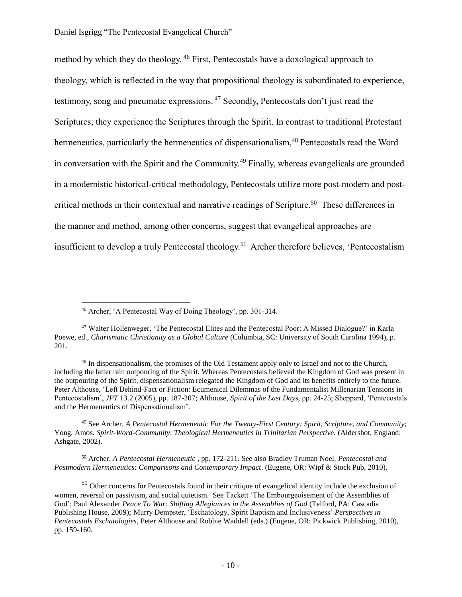method by which they do theology. <sup>46</sup> First, Pentecostals have a doxological approach to theology, which is reflected in the way that propositional theology is subordinated to experience, testimony, song and pneumatic expressions. <sup>47</sup> Secondly, Pentecostals don't just read the Scriptures; they experience the Scriptures through the Spirit. In contrast to traditional Protestant hermeneutics, particularly the hermeneutics of dispensationalism,<sup>48</sup> Pentecostals read the Word in conversation with the Spirit and the Community.<sup>49</sup> Finally, whereas evangelicals are grounded in a modernistic historical-critical methodology, Pentecostals utilize more post-modern and postcritical methods in their contextual and narrative readings of Scripture.<sup>50</sup> These differences in the manner and method, among other concerns, suggest that evangelical approaches are insufficient to develop a truly Pentecostal theology.<sup>51</sup> Archer therefore believes, 'Pentecostalism

 $\overline{a}$ 

<sup>49</sup> See Archer, *A Pentecostal Hermeneutic For the Twenty-First Century: Spirit, Scripture, and Community*; Yong, Amos. *Spirit-Word-Community*: *Theological Hermeneutics in Trinitarian Perspective.* (Aldershot, England: Ashgate, 2002).

<sup>50</sup> Archer, *A Pentecostal Hermeneutic* , pp. 172-211. See also Bradley Truman Noel. *Pentecostal and Postmodern Hermeneutics: Comparisons and Contemporary Impact*. (Eugene, OR: Wipf & Stock Pub, 2010).

<sup>51</sup> Other concerns for Pentecostals found in their critique of evangelical identity include the exclusion of women, reversal on passivism, and social quietism. See Tackett 'The Embourgeoisement of the Assemblies of God'; Paul Alexander *Peace To War: Shifting Allegiances in the Assemblies of God* (Telford, PA: Cascadia Publishing House, 2009); Murry Dempster, 'Eschatology, Spirit Baptism and Inclusiveness' *Perspectives in Pentecostals Eschatologies*, Peter Althouse and Robbie Waddell (eds.) (Eugene, OR: Pickwick Publishing, 2010), pp. 159-160.

<sup>46</sup> Archer, 'A Pentecostal Way of Doing Theology', pp. 301-314.

<sup>47</sup> Walter Hollenweger, 'The Pentecostal Elites and the Pentecostal Poor: A Missed Dialogue?' in Karla Poewe, ed., *Charismatic Christianity as a Global Culture* (Columbia, SC: University of South Carolina 1994), p. 201.

<sup>48</sup> In dispensationalism, the promises of the Old Testament apply only to Israel and not to the Church, including the latter rain outpouring of the Spirit. Whereas Pentecostals believed the Kingdom of God was present in the outpouring of the Spirit, dispensationalism relegated the Kingdom of God and its benefits entirely to the future. Peter Althouse, 'Left Behind-Fact or Fiction: Ecumenical Dilemmas of the Fundamentalist Millenarian Tensions in Pentecostalism', *JPT* 13.2 (2005), pp. 187-207; Althouse, *Spirit of the Last Days,* pp. 24-25; Sheppard, 'Pentecostals and the Hermeneutics of Dispensationalism'.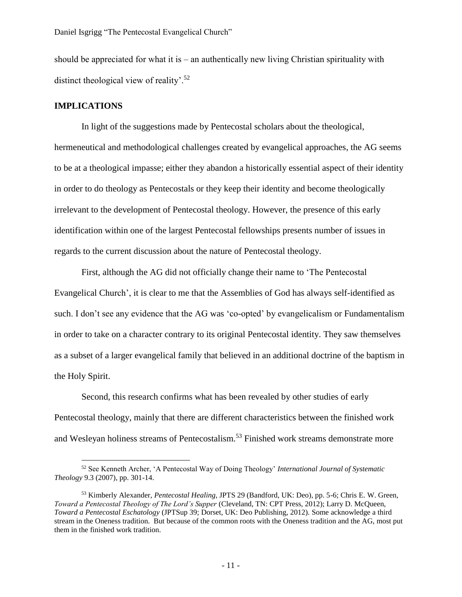should be appreciated for what it is  $-$  an authentically new living Christian spirituality with distinct theological view of reality'.<sup>52</sup>

#### **IMPLICATIONS**

 $\overline{a}$ 

In light of the suggestions made by Pentecostal scholars about the theological, hermeneutical and methodological challenges created by evangelical approaches, the AG seems to be at a theological impasse; either they abandon a historically essential aspect of their identity in order to do theology as Pentecostals or they keep their identity and become theologically irrelevant to the development of Pentecostal theology. However, the presence of this early identification within one of the largest Pentecostal fellowships presents number of issues in regards to the current discussion about the nature of Pentecostal theology.

First, although the AG did not officially change their name to 'The Pentecostal Evangelical Church', it is clear to me that the Assemblies of God has always self-identified as such. I don't see any evidence that the AG was 'co-opted' by evangelicalism or Fundamentalism in order to take on a character contrary to its original Pentecostal identity. They saw themselves as a subset of a larger evangelical family that believed in an additional doctrine of the baptism in the Holy Spirit.

Second, this research confirms what has been revealed by other studies of early Pentecostal theology, mainly that there are different characteristics between the finished work and Wesleyan holiness streams of Pentecostalism.<sup>53</sup> Finished work streams demonstrate more

<sup>52</sup> See Kenneth Archer, 'A Pentecostal Way of Doing Theology' *International Journal of Systematic Theology* 9.3 (2007), pp. 301-14.

<sup>53</sup> Kimberly Alexander, *Pentecostal Healing*, JPTS 29 (Bandford, UK: Deo), pp. 5-6; Chris E. W. Green, *Toward a Pentecostal Theology of The Lord's Supper* (Cleveland, TN: CPT Press, 2012); Larry D. McQueen, *Toward a Pentecostal Eschatology* (JPTSup 39; Dorset, UK: Deo Publishing, 2012). Some acknowledge a third stream in the Oneness tradition. But because of the common roots with the Oneness tradition and the AG, most put them in the finished work tradition.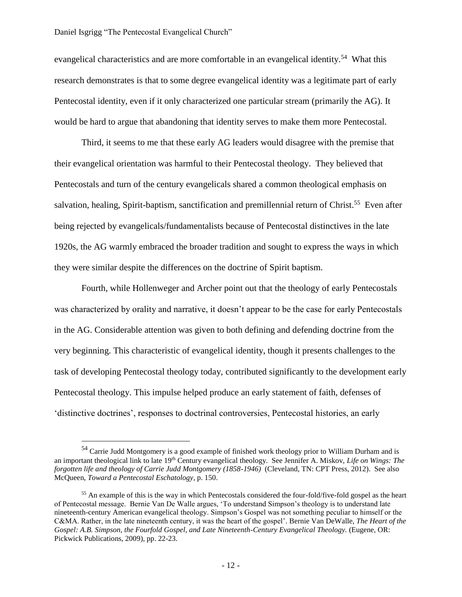#### Daniel Isgrigg "The Pentecostal Evangelical Church"

 $\overline{a}$ 

evangelical characteristics and are more comfortable in an evangelical identity.<sup>54</sup> What this research demonstrates is that to some degree evangelical identity was a legitimate part of early Pentecostal identity, even if it only characterized one particular stream (primarily the AG). It would be hard to argue that abandoning that identity serves to make them more Pentecostal.

Third, it seems to me that these early AG leaders would disagree with the premise that their evangelical orientation was harmful to their Pentecostal theology. They believed that Pentecostals and turn of the century evangelicals shared a common theological emphasis on salvation, healing, Spirit-baptism, sanctification and premillennial return of Christ.<sup>55</sup> Even after being rejected by evangelicals/fundamentalists because of Pentecostal distinctives in the late 1920s, the AG warmly embraced the broader tradition and sought to express the ways in which they were similar despite the differences on the doctrine of Spirit baptism.

Fourth, while Hollenweger and Archer point out that the theology of early Pentecostals was characterized by orality and narrative, it doesn't appear to be the case for early Pentecostals in the AG. Considerable attention was given to both defining and defending doctrine from the very beginning. This characteristic of evangelical identity, though it presents challenges to the task of developing Pentecostal theology today, contributed significantly to the development early Pentecostal theology. This impulse helped produce an early statement of faith, defenses of 'distinctive doctrines', responses to doctrinal controversies, Pentecostal histories, an early

<sup>&</sup>lt;sup>54</sup> Carrie Judd Montgomery is a good example of finished work theology prior to William Durham and is an important theological link to late 19<sup>th</sup> Century evangelical theology. See Jennifer A. Miskov, *Life on Wings: The forgotten life and theology of Carrie Judd Montgomery (1858-1946)* (Cleveland, TN: CPT Press, 2012). See also McQueen, *Toward a Pentecostal Eschatology*, p. 150.

<sup>&</sup>lt;sup>55</sup> An example of this is the way in which Pentecostals considered the four-fold/five-fold gospel as the heart of Pentecostal message. Bernie Van De Walle argues, 'To understand Simpson's theology is to understand late nineteenth-century American evangelical theology. Simpson's Gospel was not something peculiar to himself or the C&MA. Rather, in the late nineteenth century, it was the heart of the gospel'. Bernie Van DeWalle, *The Heart of the Gospel: A.B. Simpson, the Fourfold Gospel, and Late Nineteenth-Century Evangelical Theology.* (Eugene, OR: Pickwick Publications, 2009), pp. 22-23.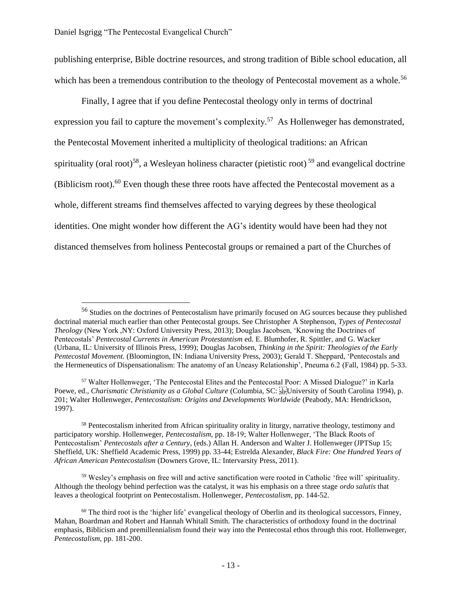$\overline{a}$ 

publishing enterprise, Bible doctrine resources, and strong tradition of Bible school education, all which has been a tremendous contribution to the theology of Pentecostal movement as a whole.<sup>56</sup>

Finally, I agree that if you define Pentecostal theology only in terms of doctrinal expression you fail to capture the movement's complexity.<sup>57</sup> As Hollenweger has demonstrated, the Pentecostal Movement inherited a multiplicity of theological traditions: an African spirituality (oral root)<sup>58</sup>, a Wesleyan holiness character (pietistic root)<sup>59</sup> and evangelical doctrine (Biblicism root). $^{60}$  Even though these three roots have affected the Pentecostal movement as a whole, different streams find themselves affected to varying degrees by these theological identities. One might wonder how different the AG's identity would have been had they not distanced themselves from holiness Pentecostal groups or remained a part of the Churches of

<sup>56</sup> Studies on the doctrines of Pentecostalism have primarily focused on AG sources because they published doctrinal material much earlier than other Pentecostal groups. See Christopher A Stephenson, *Types of Pentecostal Theology* (New York ,NY: Oxford University Press, 2013); Douglas Jacobsen, 'Knowing the Doctrines of Pentecostals' *Pentecostal Currents in American Protestantism* ed. E. Blumhofer, R. Spittler, and G. Wacker (Urbana, IL: University of Illinois Press, 1999); Douglas Jacobsen, *Thinking in the Spirit: Theologies of the Early Pentecostal Movement.* (Bloomington, IN: Indiana University Press, 2003); Gerald T. Sheppard, 'Pentecostals and the Hermeneutics of Dispensationalism: The anatomy of an Uneasy Relationship', Pneuma 6.2 (Fall, 1984) pp. 5-33.

<sup>57</sup> Walter Hollenweger, 'The Pentecostal Elites and the Pentecostal Poor: A Missed Dialogue?' in Karla Poewe, ed., *Charismatic Christianity as a Global Culture* (Columbia, SC: <sup>[1</sup>] University of South Carolina 1994), p. 201; Walter Hollenweger, *Pentecostalism: Origins and Developments Worldwide* (Peabody, MA: Hendrickson, 1997).

<sup>&</sup>lt;sup>58</sup> Pentecostalism inherited from African spirituality orality in liturgy, narrative theology, testimony and participatory worship. Hollenweger, *Pentecostalism,* pp. 18-19; Walter Hollenweger, 'The Black Roots of Pentecostalism' *Pentecostals after a Century*, (eds.) Allan H. Anderson and Walter J. Hollenweger (JPTSup 15; Sheffield, UK: Sheffield Academic Press, 1999) pp. 33-44; Estrelda Alexander, *Black Fire: One Hundred Years of African American Pentecostalism* (Downers Grove, IL: Intervarsity Press, 2011).

<sup>59</sup> Wesley's emphasis on free will and active sanctification were rooted in Catholic 'free will' spirituality. Although the theology behind perfection was the catalyst, it was his emphasis on a three stage *ordo salutis* that leaves a theological footprint on Pentecostalism. Hollenweger, *Pentecostalism,* pp. 144-52.

 $60$  The third root is the 'higher life' evangelical theology of Oberlin and its theological successors, Finney, Mahan, Boardman and Robert and Hannah Whitall Smith. The characteristics of orthodoxy found in the doctrinal emphasis, Biblicism and premillennialism found their way into the Pentecostal ethos through this root. Hollenweger, *Pentecostalism,* pp. 181-200.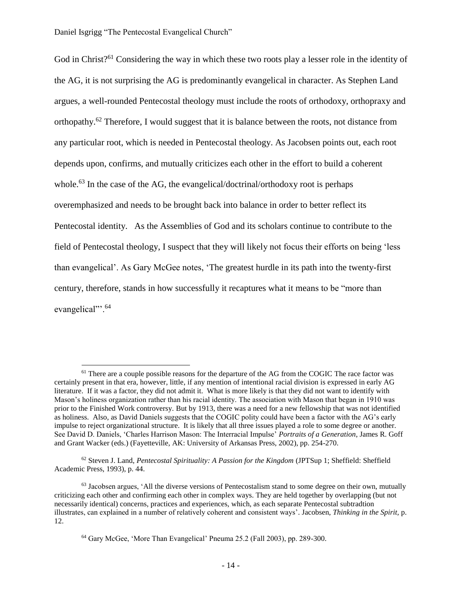$\overline{a}$ 

God in Christ?<sup>61</sup> Considering the way in which these two roots play a lesser role in the identity of the AG, it is not surprising the AG is predominantly evangelical in character. As Stephen Land argues, a well-rounded Pentecostal theology must include the roots of orthodoxy, orthopraxy and orthopathy.<sup>62</sup> Therefore, I would suggest that it is balance between the roots, not distance from any particular root, which is needed in Pentecostal theology. As Jacobsen points out, each root depends upon, confirms, and mutually criticizes each other in the effort to build a coherent whole.<sup>63</sup> In the case of the AG, the evangelical/doctrinal/orthodoxy root is perhaps overemphasized and needs to be brought back into balance in order to better reflect its Pentecostal identity. As the Assemblies of God and its scholars continue to contribute to the field of Pentecostal theology, I suspect that they will likely not focus their efforts on being 'less than evangelical'. As Gary McGee notes, 'The greatest hurdle in its path into the twenty-first century, therefore, stands in how successfully it recaptures what it means to be "more than evangelical".<sup>64</sup>

<sup>62</sup> Steven J. Land, *Pentecostal Spirituality: A Passion for the Kingdom* (JPTSup 1; Sheffield: Sheffield Academic Press, 1993), p. 44.

 $<sup>61</sup>$  There are a couple possible reasons for the departure of the AG from the COGIC The race factor was</sup> certainly present in that era, however, little, if any mention of intentional racial division is expressed in early AG literature. If it was a factor, they did not admit it. What is more likely is that they did not want to identify with Mason's holiness organization rather than his racial identity. The association with Mason that began in 1910 was prior to the Finished Work controversy. But by 1913, there was a need for a new fellowship that was not identified as holiness. Also, as David Daniels suggests that the COGIC polity could have been a factor with the AG's early impulse to reject organizational structure. It is likely that all three issues played a role to some degree or another. See David D. Daniels, 'Charles Harrison Mason: The Interracial Impulse' *Portraits of a Generation*, James R. Goff and Grant Wacker (eds.) (Fayetteville, AK: University of Arkansas Press, 2002), pp. 254-270.

 $63$  Jacobsen argues, 'All the diverse versions of Pentecostalism stand to some degree on their own, mutually criticizing each other and confirming each other in complex ways. They are held together by overlapping (but not necessarily identical) concerns, practices and experiences, which, as each separate Pentecostal subtradtion illustrates, can explained in a number of relatively coherent and consistent ways'. Jacobsen, *Thinking in the Spirit,* p. 12.

<sup>64</sup> Gary McGee, 'More Than Evangelical' Pneuma 25.2 (Fall 2003), pp. 289-300.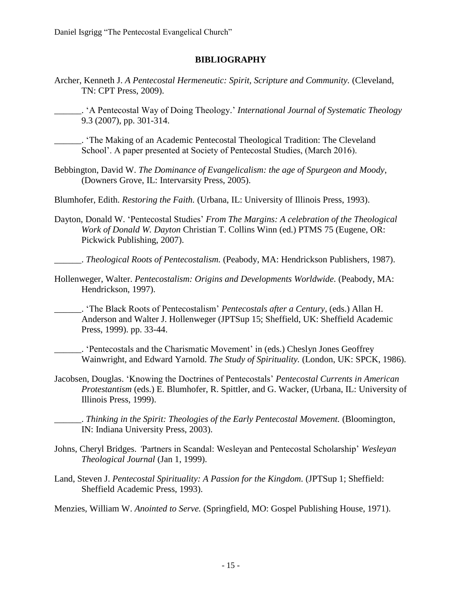#### **BIBLIOGRAPHY**

Archer, Kenneth J. *A Pentecostal Hermeneutic: Spirit, Scripture and Community.* (Cleveland, TN: CPT Press, 2009).

\_\_\_\_\_\_. 'A Pentecostal Way of Doing Theology.' *International Journal of Systematic Theology* 9.3 (2007), pp. 301-314.

\_\_\_\_\_\_. 'The Making of an Academic Pentecostal Theological Tradition: The Cleveland School'. A paper presented at Society of Pentecostal Studies, (March 2016).

Bebbington, David W. *The Dominance of Evangelicalism: the age of Spurgeon and Moody*, (Downers Grove, IL: Intervarsity Press, 2005).

Blumhofer, Edith. *Restoring the Faith.* (Urbana, IL: University of Illinois Press, 1993).

Dayton, Donald W. 'Pentecostal Studies' *From The Margins: A celebration of the Theological Work of Donald W. Dayton* Christian T. Collins Winn (ed.) PTMS 75 (Eugene, OR: Pickwick Publishing, 2007).

\_\_\_\_\_\_. *Theological Roots of Pentecostalism.* (Peabody, MA: Hendrickson Publishers, 1987).

Hollenweger, Walter. *Pentecostalism: Origins and Developments Worldwide.* (Peabody, MA: Hendrickson, 1997).

\_\_\_\_\_\_. 'The Black Roots of Pentecostalism' *Pentecostals after a Century*, (eds.) Allan H. Anderson and Walter J. Hollenweger (JPTSup 15; Sheffield, UK: Sheffield Academic Press, 1999). pp. 33-44.

\_\_\_\_\_\_. 'Pentecostals and the Charismatic Movement' in (eds.) Cheslyn Jones Geoffrey Wainwright, and Edward Yarnold. *The Study of Spirituality.* (London, UK: SPCK, 1986).

Jacobsen, Douglas. 'Knowing the Doctrines of Pentecostals' *Pentecostal Currents in American Protestantism* (eds.) E. Blumhofer, R. Spittler, and G. Wacker, (Urbana, IL: University of Illinois Press, 1999).

\_\_\_\_\_\_. *Thinking in the Spirit: Theologies of the Early Pentecostal Movement.* (Bloomington, IN: Indiana University Press, 2003).

- Johns, Cheryl Bridges. *'*Partners in Scandal: Wesleyan and Pentecostal Scholarship' *Wesleyan Theological Journal* (Jan 1, 1999).
- Land, Steven J. *Pentecostal Spirituality: A Passion for the Kingdom.* (JPTSup 1; Sheffield: Sheffield Academic Press, 1993).

Menzies, William W. *Anointed to Serve.* (Springfield, MO: Gospel Publishing House, 1971).